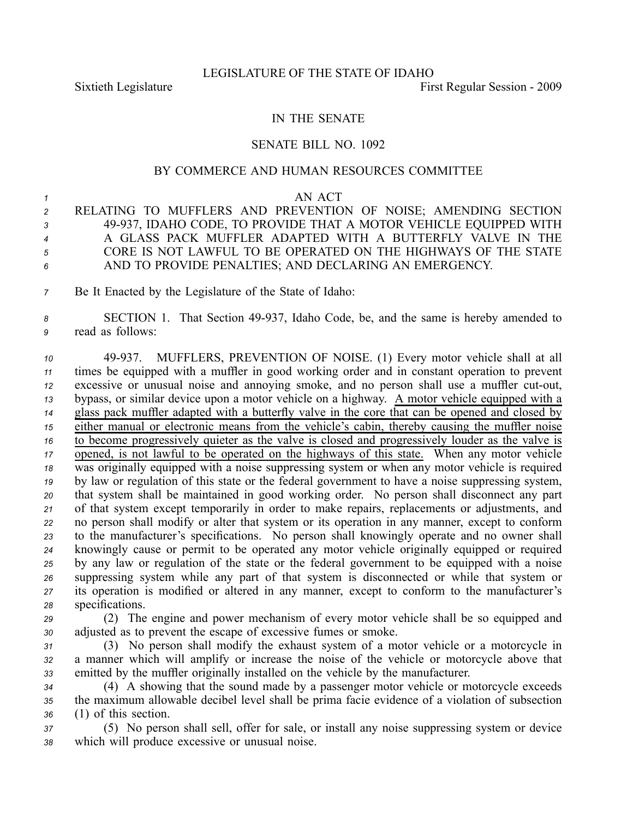## IN THE SENATE

## SENATE BILL NO. 1092

## BY COMMERCE AND HUMAN RESOURCES COMMITTEE

## *<sup>1</sup>* AN ACT

- *<sup>2</sup>* RELATING TO MUFFLERS AND PREVENTION OF NOISE; AMENDING SECTION *<sup>3</sup>* 49937, IDAHO CODE, TO PROVIDE THAT A MOTOR VEHICLE EQUIPPED WITH *<sup>4</sup>* A GLASS PACK MUFFLER ADAPTED WITH A BUTTERFLY VALVE IN THE *<sup>5</sup>* CORE IS NOT LAWFUL TO BE OPERATED ON THE HIGHWAYS OF THE STATE *<sup>6</sup>* AND TO PROVIDE PENALTIES; AND DECLARING AN EMERGENCY.
- *<sup>7</sup>* Be It Enacted by the Legislature of the State of Idaho:
- 8 **SECTION 1.** That Section 49-937, Idaho Code, be, and the same is hereby amended to *<sup>9</sup>* read as follows:

 49937. MUFFLERS, PREVENTION OF NOISE. (1) Every motor vehicle shall at all times be equipped with <sup>a</sup> muffler in good working order and in constant operation to preven<sup>t</sup> excessive or unusual noise and annoying smoke, and no person shall use <sup>a</sup> muffler cutout, bypass, or similar device upon <sup>a</sup> motor vehicle on <sup>a</sup> highway. A motor vehicle equipped with <sup>a</sup> glass pack muffler adapted with <sup>a</sup> butterfly valve in the core that can be opened and closed by either manual or electronic means from the vehicle's cabin, thereby causing the muffler noise to become progressively quieter as the valve is closed and progressively louder as the valve is opened, is not lawful to be operated on the highways of this state. When any motor vehicle was originally equipped with <sup>a</sup> noise suppressing system or when any motor vehicle is required by law or regulation of this state or the federal governmen<sup>t</sup> to have <sup>a</sup> noise suppressing system, that system shall be maintained in good working order. No person shall disconnect any par<sup>t</sup> of that system excep<sup>t</sup> temporarily in order to make repairs, replacements or adjustments, and no person shall modify or alter that system or its operation in any manner, excep<sup>t</sup> to conform to the manufacturer's specifications. No person shall knowingly operate and no owner shall knowingly cause or permit to be operated any motor vehicle originally equipped or required by any law or regulation of the state or the federal governmen<sup>t</sup> to be equipped with <sup>a</sup> noise suppressing system while any par<sup>t</sup> of that system is disconnected or while that system or its operation is modified or altered in any manner, excep<sup>t</sup> to conform to the manufacturer's specifications.

*<sup>29</sup>* (2) The engine and power mechanism of every motor vehicle shall be so equipped and *<sup>30</sup>* adjusted as to preven<sup>t</sup> the escape of excessive fumes or smoke.

*<sup>31</sup>* (3) No person shall modify the exhaust system of <sup>a</sup> motor vehicle or <sup>a</sup> motorcycle in *<sup>32</sup>* <sup>a</sup> manner which will amplify or increase the noise of the vehicle or motorcycle above that *<sup>33</sup>* emitted by the muffler originally installed on the vehicle by the manufacturer.

*<sup>34</sup>* (4) A showing that the sound made by <sup>a</sup> passenger motor vehicle or motorcycle exceeds *<sup>35</sup>* the maximum allowable decibel level shall be prima facie evidence of <sup>a</sup> violation of subsection *<sup>36</sup>* (1) of this section.

*<sup>37</sup>* (5) No person shall sell, offer for sale, or install any noise suppressing system or device *<sup>38</sup>* which will produce excessive or unusual noise.